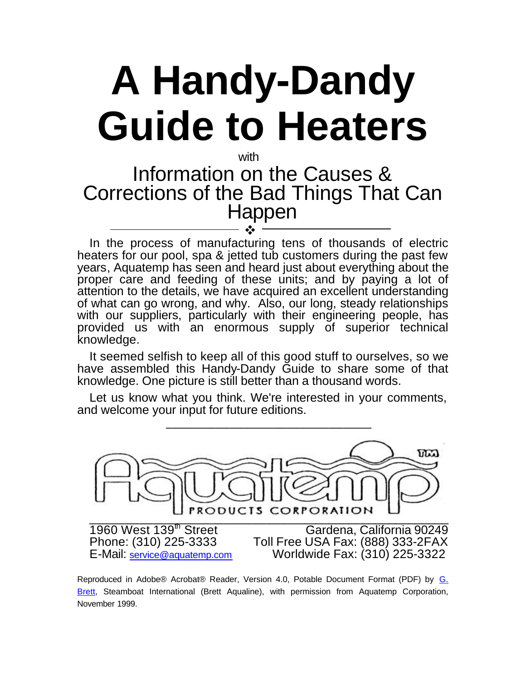# **A Handy-Dandy Guide to Heaters**

## with Information on the Causes & Corrections of the Bad Things That Can Happen

In the process of manufacturing tens of thousands of electric heaters for our pool, spa & jetted tub customers during the past few years, Aquatemp has seen and heard just about everything about the proper care and feeding of these units; and by paying a lot of attention to the details, we have acquired an excellent understanding of what can go wrong, and why. Also, our long, steady relationships with our suppliers, particularly with their engineering people, has provided us with an enormous supply of superior technical knowledge. v

It seemed selfish to keep all of this good stuff to ourselves, so we have assembled this Handy-Dandy Guide to share some of that knowledge. One picture is still better than a thousand words.

Let us know what you think. We're interested in your comments, and welcome your input for future editions.



Reproduced in Adobe® Acrobat® Reader, Version 4.0, Potable Document Format (PDF) by G. Brett, Steamboat International (Brett Aqualine), with permission from Aquatemp Corporation, November 1999.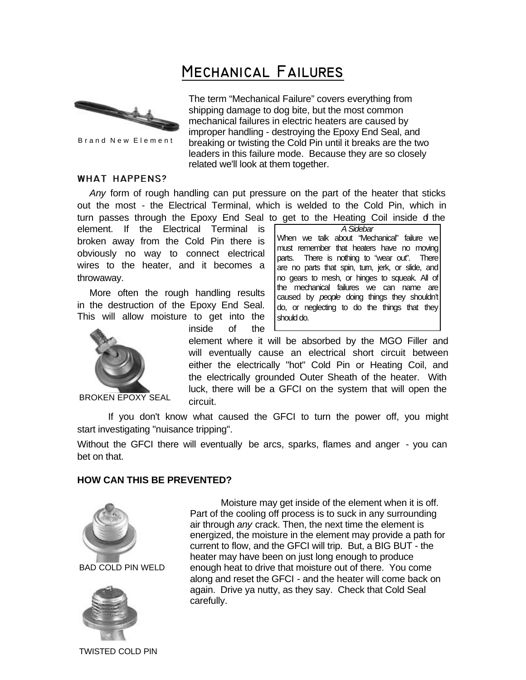# **Mechanical Failures**



Brand New Element

The term "Mechanical Failure" covers everything from shipping damage to dog bite, but the most common mechanical failures in electric heaters are caused by improper handling - destroying the Epoxy End Seal, and breaking or twisting the Cold Pin until it breaks are the two leaders in this failure mode. Because they are so closely related we'll look at them together.

#### **WHAT HAPPENS?**

*Any* form of rough handling can put pressure on the part of the heater that sticks out the most - the Electrical Terminal, which is welded to the Cold Pin, which in turn passes through the Epoxy End Seal to get to the Heating Coil inside of the

element. If the Electrical Terminal is broken away from the Cold Pin there is obviously no way to connect electrical wires to the heater, and it becomes a throwaway.

More often the rough handling results in the destruction of the Epoxy End Seal. This will allow moisture to get into the

inside of the

circuit.

*A Sidebar* When we talk about "Mechanical" failure we must remember that heaters have no moving parts. There is nothing to "wear out". There are no parts that spin, turn, jerk, or slide, and no gears to mesh, or hinges to squeak. All of the mechanical failures we can name are caused by *people* doing things they shouldn't do, or neglecting to do the things that they should do.



BROKEN EPOXY SEAL

If you don't know what caused the GFCI to turn the power off, you might start investigating "nuisance tripping".

Without the GFCI there will eventually be arcs, sparks, flames and anger - you can bet on that.

#### **HOW CAN THIS BE PREVENTED?**



Moisture may get inside of the element when it is off. Part of the cooling off process is to suck in any surrounding air through *any* crack. Then, the next time the element is energized, the moisture in the element may provide a path for current to flow, and the GFCI will trip. But, a BIG BUT - the heater may have been on just long enough to produce enough heat to drive that moisture out of there. You come along and reset the GFCI - and the heater will come back on again. Drive ya nutty, as they say. Check that Cold Seal carefully.

element where it will be absorbed by the MGO Filler and will eventually cause an electrical short circuit between either the electrically "hot" Cold Pin or Heating Coil, and the electrically grounded Outer Sheath of the heater. With luck, there will be a GFCI on the system that will open the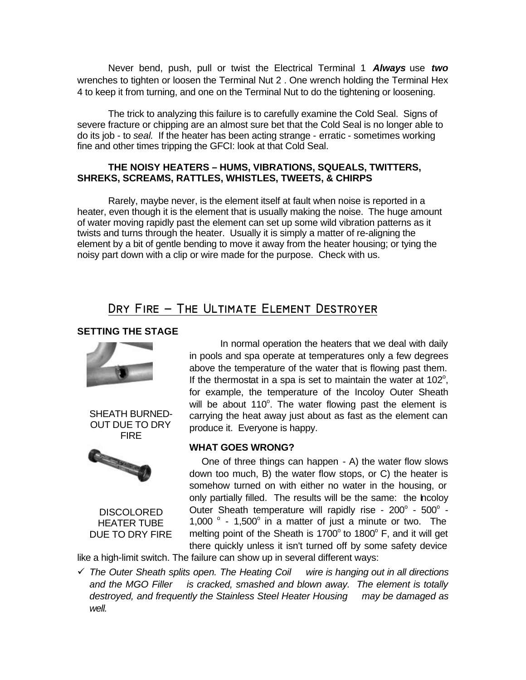Never bend, push, pull or twist the Electrical Terminal 1 *Always* use *two* wrenches to tighten or loosen the Terminal Nut 2 . One wrench holding the Terminal Hex 4 to keep it from turning, and one on the Terminal Nut to do the tightening or loosening.

The trick to analyzing this failure is to carefully examine the Cold Seal. Signs of severe fracture or chipping are an almost sure bet that the Cold Seal is no longer able to do its job - to *seal.* If the heater has been acting strange - erratic - sometimes working fine and other times tripping the GFCI: look at that Cold Seal.

#### **THE NOISY HEATERS – HUMS, VIBRATIONS, SQUEALS, TWITTERS, SHREKS, SCREAMS, RATTLES, WHISTLES, TWEETS, & CHIRPS**

Rarely, maybe never, is the element itself at fault when noise is reported in a heater, even though it is the element that is usually making the noise. The huge amount of water moving rapidly past the element can set up some wild vibration patterns as it twists and turns through the heater. Usually it is simply a matter of re-aligning the element by a bit of gentle bending to move it away from the heater housing; or tying the noisy part down with a clip or wire made for the purpose. Check with us.

### DRY FIRE - THE ULTIMATE ELEMENT DESTROYER

#### **SETTING THE STAGE**



SHEATH BURNED-OUT DUE TO DRY FIRE



**DISCOLORED** HEATER TUBE DUE TO DRY FIRE

In normal operation the heaters that we deal with daily in pools and spa operate at temperatures only a few degrees above the temperature of the water that is flowing past them. If the thermostat in a spa is set to maintain the water at  $102^\circ$ , for example, the temperature of the Incoloy Outer Sheath will be about 110°. The water flowing past the element is carrying the heat away just about as fast as the element can produce it. Everyone is happy.

#### **WHAT GOES WRONG?**

One of three things can happen - A) the water flow slows down too much, B) the water flow stops, or C) the heater is somehow turned on with either no water in the housing, or only partially filled. The results will be the same: the Incoloy Outer Sheath temperature will rapidly rise -  $200^\circ$  -  $500^\circ$  -1,000  $\degree$  - 1,500 $\degree$  in a matter of just a minute or two. The melting point of the Sheath is 1700° to 1800° F, and it will get there quickly unless it isn't turned off by some safety device

like a high-limit switch. The failure can show up in several different ways:

¸ *The Outer Sheath splits open. The Heating Coil wire is hanging out in all directions and the MGO Filler is cracked, smashed and blown away. The element is totally destroyed, and frequently the Stainless Steel Heater Housing may be damaged as well.*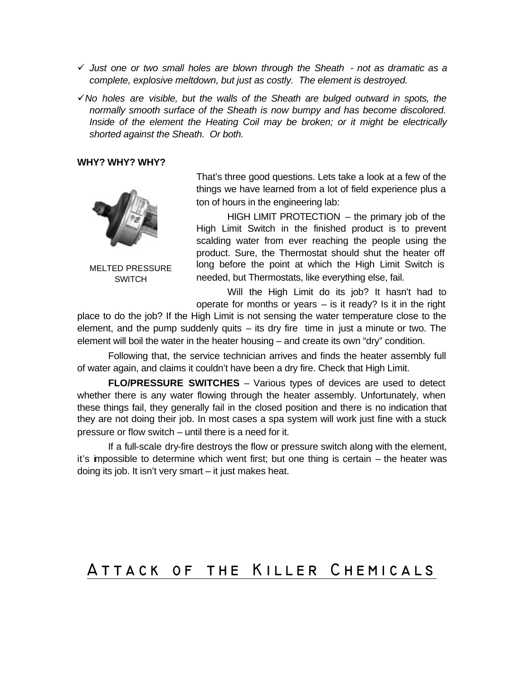- ¸ *Just one or two small holes are blown through the Sheath not as dramatic as a complete, explosive meltdown, but just as costly. The element is destroyed.*
- $\checkmark$  No holes are visible, but the walls of the Sheath are bulged outward in spots, the *normally smooth surface of the Sheath is now bumpy and has become discolored. Inside of the element the Heating Coil may be broken; or it might be electrically shorted against the Sheath. Or both.*

#### **WHY? WHY? WHY?**



MELTED PRESSURE **SWITCH** 

That's three good questions. Lets take a look at a few of the things we have learned from a lot of field experience plus a ton of hours in the engineering lab:

HIGH LIMIT PROTECTION – the primary job of the High Limit Switch in the finished product is to prevent scalding water from ever reaching the people using the product. Sure, the Thermostat should shut the heater off long before the point at which the High Limit Switch is needed, but Thermostats, like everything else, fail.

Will the High Limit do its job? It hasn't had to operate for months or years  $-$  is it ready? Is it in the right

place to do the job? If the High Limit is not sensing the water temperature close to the element, and the pump suddenly quits – its dry fire time in just a minute or two. The element will boil the water in the heater housing – and create its own "dry" condition.

Following that, the service technician arrives and finds the heater assembly full of water again, and claims it couldn't have been a dry fire. Check that High Limit.

**FLO/PRESSURE SWITCHES** – Various types of devices are used to detect whether there is any water flowing through the heater assembly. Unfortunately, when these things fail, they generally fail in the closed position and there is no indication that they are not doing their job. In most cases a spa system will work just fine with a stuck pressure or flow switch – until there is a need for it.

If a full-scale dry-fire destroys the flow or pressure switch along with the element, it's impossible to determine which went first; but one thing is certain – the heater was doing its job. It isn't very smart – it just makes heat.

## **Attack of the Killer Chemicals**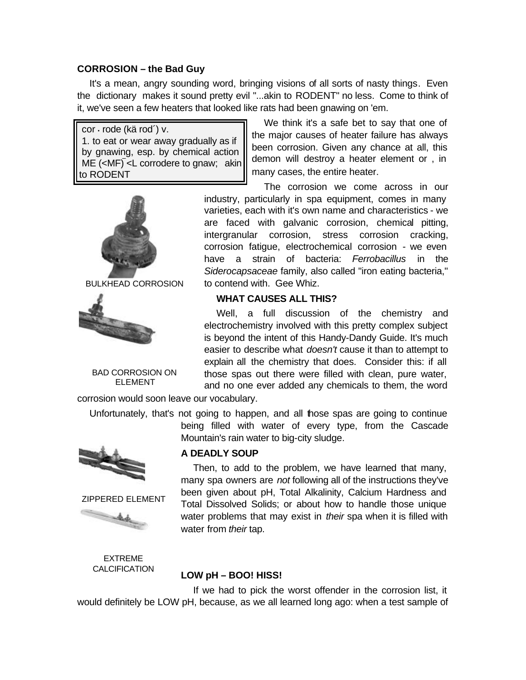#### **CORROSION – the Bad Guy**

It's a mean, angry sounding word, bringing visions of all sorts of nasty things. Even the dictionary makes it sound pretty evil "...akin to RODENT" no less. Come to think of it, we've seen a few heaters that looked like rats had been gnawing on 'em.

cor  $\cdot$  rode (kä rod´) v. 1. to eat or wear away gradually as if by gnawing, esp. by chemical action ME  $(**MF**) < **L**$  corrodere to gnaw; akin to RODENT



BULKHEAD CORROSION



BAD CORROSION ON ELEMENT

corrosion would soon leave our vocabulary.

Unfortunately, that's not going to happen, and all those spas are going to continue being filled with water of every type, from the Cascade Mountain's rain water to big-city sludge.



ZIPPERED ELEMENT



**A DEADLY SOUP**

Then, to add to the problem, we have learned that many, many spa owners are *not* following all of the instructions they've been given about pH, Total Alkalinity, Calcium Hardness and Total Dissolved Solids; or about how to handle those unique water problems that may exist in *their* spa when it is filled with water from *their* tap.

EXTREME **CALCIFICATION** 

#### **LOW pH – BOO! HISS!**

If we had to pick the worst offender in the corrosion list, it would definitely be LOW pH, because, as we all learned long ago: when a test sample of

We think it's a safe bet to say that one of the major causes of heater failure has always been corrosion. Given any chance at all, this demon will destroy a heater element or , in many cases, the entire heater.

The corrosion we come across in our industry, particularly in spa equipment, comes in many varieties, each with it's own name and characteristics - we are faced with galvanic corrosion, chemical pitting, intergranular corrosion, stress corrosion cracking, corrosion fatigue, electrochemical corrosion - we even have a strain of bacteria: *Ferrobacillus* in the *Siderocapsaceae* family, also called "iron eating bacteria," to contend with. Gee Whiz.

#### **WHAT CAUSES ALL THIS?**

Well, a full discussion of the chemistry and electrochemistry involved with this pretty complex subject is beyond the intent of this Handy-Dandy Guide. It's much easier to describe what *doesn't* cause it than to attempt to explain all the chemistry that does. Consider this: if all those spas out there were filled with clean, pure water, and no one ever added any chemicals to them, the word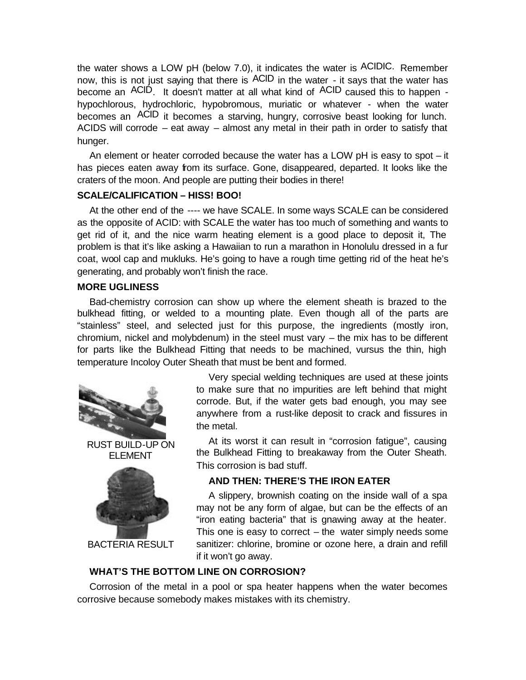the water shows a LOW pH (below 7.0), it indicates the water is ACIDIC. Remember now, this is not just saying that there is ACID in the water - it says that the water has become an ACID. It doesn't matter at all what kind of ACID caused this to happen hypochlorous, hydrochloric, hypobromous, muriatic or whatever - when the water becomes an ACID it becomes a starving, hungry, corrosive beast looking for lunch. ACIDS will corrode – eat away – almost any metal in their path in order to satisfy that hunger.

An element or heater corroded because the water has a LOW pH is easy to spot – it has pieces eaten away from its surface. Gone, disappeared, departed. It looks like the craters of the moon. And people are putting their bodies in there!

#### **SCALE/CALIFICATION – HISS! BOO!**

At the other end of the ---- we have SCALE. In some ways SCALE can be considered as the opposite of ACID: with SCALE the water has too much of something and wants to get rid of it, and the nice warm heating element is a good place to deposit it, The problem is that it's like asking a Hawaiian to run a marathon in Honolulu dressed in a fur coat, wool cap and mukluks. He's going to have a rough time getting rid of the heat he's generating, and probably won't finish the race.

#### **MORE UGLINESS**

Bad-chemistry corrosion can show up where the element sheath is brazed to the bulkhead fitting, or welded to a mounting plate. Even though all of the parts are "stainless" steel, and selected just for this purpose, the ingredients (mostly iron, chromium, nickel and molybdenum) in the steel must vary – the mix has to be different for parts like the Bulkhead Fitting that needs to be machined, vursus the thin, high temperature Incoloy Outer Sheath that must be bent and formed.





BACTERIA RESULT

Very special welding techniques are used at these joints to make sure that no impurities are left behind that might corrode. But, if the water gets bad enough, you may see anywhere from a rust-like deposit to crack and fissures in the metal.

At its worst it can result in "corrosion fatigue", causing the Bulkhead Fitting to breakaway from the Outer Sheath. This corrosion is bad stuff.

#### **AND THEN: THERE'S THE IRON EATER**

A slippery, brownish coating on the inside wall of a spa may not be any form of algae, but can be the effects of an "iron eating bacteria" that is gnawing away at the heater. This one is easy to correct  $-$  the water simply needs some sanitizer: chlorine, bromine or ozone here, a drain and refill if it won't go away.

#### **WHAT'S THE BOTTOM LINE ON CORROSION?**

Corrosion of the metal in a pool or spa heater happens when the water becomes corrosive because somebody makes mistakes with its chemistry.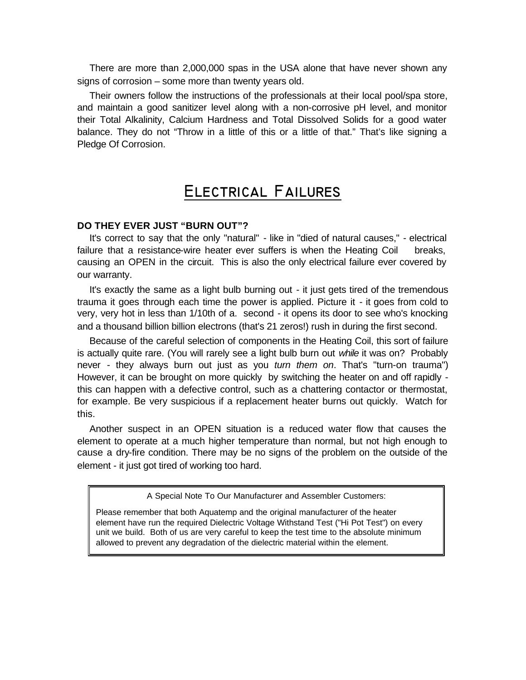There are more than 2,000,000 spas in the USA alone that have never shown any signs of corrosion – some more than twenty years old.

Their owners follow the instructions of the professionals at their local pool/spa store, and maintain a good sanitizer level along with a non-corrosive pH level, and monitor their Total Alkalinity, Calcium Hardness and Total Dissolved Solids for a good water balance. They do not "Throw in a little of this or a little of that." That's like signing a Pledge Of Corrosion.

## **Electrical Failures**

#### **DO THEY EVER JUST "BURN OUT"?**

It's correct to say that the only "natural" - like in "died of natural causes," - electrical failure that a resistance-wire heater ever suffers is when the Heating Coil breaks, causing an OPEN in the circuit. This is also the only electrical failure ever covered by our warranty.

It's exactly the same as a light bulb burning out - it just gets tired of the tremendous trauma it goes through each time the power is applied. Picture it - it goes from cold to very, very hot in less than 1/10th of a. second - it opens its door to see who's knocking and a thousand billion billion electrons (that's 21 zeros!) rush in during the first second.

Because of the careful selection of components in the Heating Coil, this sort of failure is actually quite rare. (You will rarely see a light bulb burn out *while* it was on? Probably never - they always burn out just as you *turn them on*. That's "turn-on trauma") However, it can be brought on more quickly by switching the heater on and off rapidly this can happen with a defective control, such as a chattering contactor or thermostat, for example. Be very suspicious if a replacement heater burns out quickly. Watch for this.

Another suspect in an OPEN situation is a reduced water flow that causes the element to operate at a much higher temperature than normal, but not high enough to cause a dry-fire condition. There may be no signs of the problem on the outside of the element - it just got tired of working too hard.

A Special Note To Our Manufacturer and Assembler Customers:

Please remember that both Aquatemp and the original manufacturer of the heater element have run the required Dielectric Voltage Withstand Test ("Hi Pot Test") on every unit we build. Both of us are very careful to keep the test time to the absolute minimum allowed to prevent any degradation of the dielectric material within the element.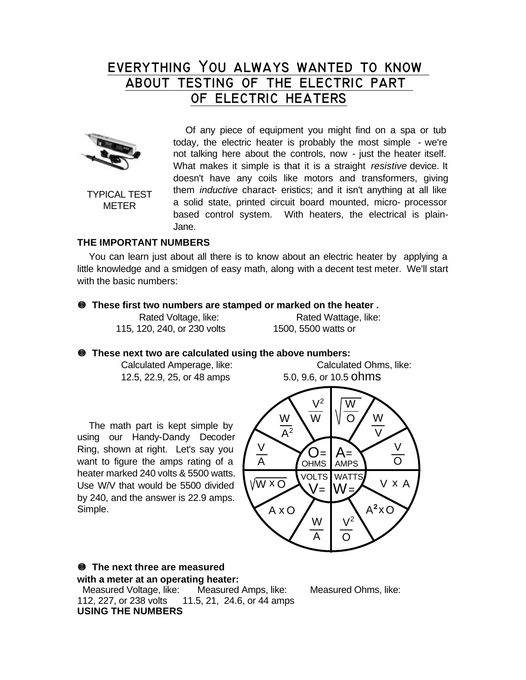## **everything You always wanted to know about testing of the electric part of electric heaters**



TYPICAL TEST METER

Of any piece of equipment you might find on a spa or tub today, the electric heater is probably the most simple - we're not talking here about the controls, now - just the heater itself. What makes it simple is that it is a straight *resistive* device. It doesn't have any coils like motors and transformers, giving them *inductive* charact- eristics; and it isn't anything at all like a solid state, printed circuit board mounted, micro- processor based control system. With heaters, the electrical is plain-Jane.

#### **THE IMPORTANT NUMBERS**

You can learn just about all there is to know about an electric heater by applying a little knowledge and a smidgen of easy math, along with a decent test meter. We'll start with the basic numbers:

#### **• These first two numbers are stamped or marked on the heater .**

| Rated Voltage, like:        | Rated Wattage, like: |
|-----------------------------|----------------------|
| 115, 120, 240, or 230 volts | 1500, 5500 watts or  |

#### **• These next two are calculated using the above numbers:**

Calculated Amperage, like: Calculated Ohms, like:

The math part is kept simple by using our Handy-Dandy Decoder Ring, shown at right. Let's say you want to figure the amps rating of a heater marked 240 volts & 5500 watts. Use W/V that would be 5500 divided by 240, and the answer is 22.9 amps. Simple.



#### **• The next three are measured with a meter at an operating heater:** Measured Voltage, like: Measured Amps, like: Measured Ohms, like: 112, 227, or 238 volts 11.5, 21, 24.6, or 44 amps **USING THE NUMBERS**